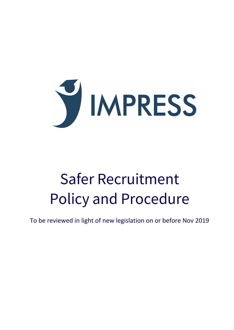

# Safer Recruitment Policy and Procedure

To be reviewed in light of new legislation on or before Nov 2019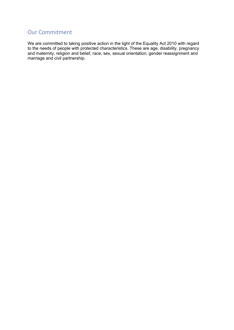# Our Commitment

We are committed to taking positive action in the light of the Equality Act 2010 with regard to the needs of people with protected characteristics. These are age, disability, pregnancy and maternity, religion and belief, race, sex, sexual orientation, gender reassignment and marriage and civil partnership.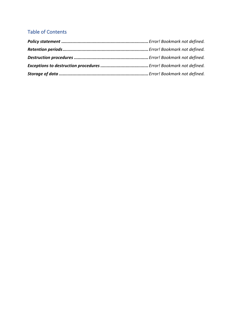# Table of Contents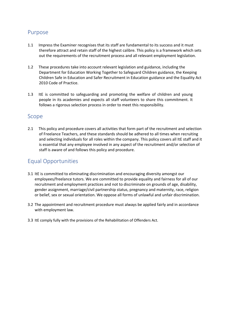## Purpose

- 1.1 Impress the Examiner recognises that its staff are fundamental to its success and it must therefore attract and retain staff of the highest calibre. This policy is a framework which sets out the requirements of the recruitment process and all relevant employment legislation.
- 1.2 These procedures take into account relevant legislation and guidance, including the Department for Education Working Together to Safeguard Children guidance, the Keeping Children Safe in Education and Safer Recruitment in Education guidance and the Equality Act 2010 Code of Practice.
- 1.3 ItE is committed to safeguarding and promoting the welfare of children and young people in its academies and expects all staff volunteers to share this commitment. It follows a rigorous selection process in order to meet this responsibility.

# Scope

2.1 This policy and procedure covers all activities that form part of the recruitment and selection of Freelance Teachers, and these standards should be adhered to all times when recruiting and selecting individuals for all roles within the company. This policy covers all ItE staff and it is essential that any employee involved in any aspect of the recruitment and/or selection of staff is aware of and follows this policy and procedure.

# Equal Opportunities

- 3.1 ItE is committed to eliminating discrimination and encouraging diversity amongst our employees/freelance tutors. We are committed to provide equality and fairness for all of our recruitment and employment practices and not to discriminate on grounds of age, disability, gender assignment, marriage/civil partnership status, pregnancy and maternity, race, religion or belief, sex or sexual orientation. We oppose all forms of unlawful and unfair discrimination.
- 3.2 The appointment and recruitment procedure must always be applied fairly and in accordance with employment law.
- 3.3 ItE comply fully with the provisions of the Rehabilitation of Offenders Act.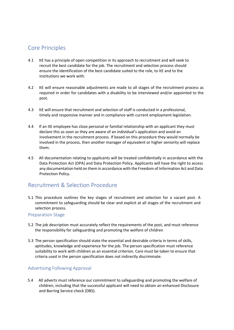# Core Principles

- 4.1 ItE has a principle of open competition in its approach to recruitment and will seek to recruit the best candidate for the job. The recruitment and selection process should ensure the identification of the best candidate suited to the role, to ItE and to the institutions we work with.
- 4.2 ItE will ensure reasonable adjustments are made to all stages of the recruitment process as required in order for candidates with a disability to be interviewed and/or appointed to the post.
- 4.3 ItE will ensure that recruitment and selection of staff is conducted in a professional, timely and responsive manner and in compliance with current employment legislation.
- 4.4 If an ItE employee has close personal or familial relationship with an applicant they must declare this as soon as they are aware of an individual's application and avoid an involvement in the recruitment process. If based on this procedure they would normally be involved in the process, then another manager of equivalent or higher seniority will replace them.
- 4.5 All documentation relating to applicants will be treated confidentially in accordance with the Data Protection Act (DPA) and Data Protection Policy. Applicants will have the right to access any documentation held on them in accordance with the Freedom of Information Act and Data Protection Policy.

### Recruitment & Selection Procedure

5.1 This procedure outlines the key stages of recruitment and selection for a vacant post. A commitment to safeguarding should be clear and explicit at all stages of the recruitment and selection process.

#### Preparation Stage

- 5.2 The job description must accurately reflect the requirements of the post, and must reference the responsibility for safeguarding and promoting the welfare of children
- 5.3 The person specification should state the essential and desirable criteria in terms of skills, aptitudes, knowledge and experience for the job. The person specification must reference suitability to work with children as an essential criterion. Care must be taken to ensure that criteria used in the person specification does not indirectly discriminate.

#### Advertising Following Approval

5.4 All adverts must reference our commitment to safeguarding and promoting the welfare of children, including that the successful applicant will need to obtain an enhanced Disclosure and Barring Service check (DBS).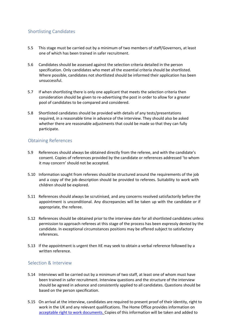#### Shortlisting Candidates

- 5.5 This stage must be carried out by a minimum of two members of staff/Governors, at least one of which has been trained in safer recruitment.
- 5.6 Candidates should be assessed against the selection criteria detailed in the person specification. Only candidates who meet all the essential criteria should be shortlisted. Where possible, candidates not shortlisted should be informed their application has been unsuccessful.
- 5.7 If when shortlisting there is only one applicant that meets the selection criteria then consideration should be given to re-advertising the post in order to allow for a greater pool of candidates to be compared and considered.
- 5.8 Shortlisted candidates should be provided with details of any tests/presentations required, in a reasonable time in advance of the interview. They should also be asked whether there are reasonable adjustments that could be made so that they can fully participate.

#### Obtaining References

- 5.9 References should always be obtained directly from the referee, and with the candidate's consent. Copies of references provided by the candidate or references addressed 'to whom it may concern' should not be accepted.
- 5.10 Information sought from referees should be structured around the requirements of the job and a copy of the job description should be provided to referees. Suitability to work with children should be explored.
- 5.11 References should always be scrutinised, and any concerns resolved satisfactorily before the appointment is unconditional. Any discrepancies will be taken up with the candidate or if appropriate, the referee.
- 5.12 References should be obtained prior to the interview date for all shortlisted candidates unless permission to approach referees at this stage of the process has been expressly denied by the candidate. In exceptional circumstances positions may be offered subject to satisfactory references.
- 5.13 If the appointment is urgent then ItE may seek to obtain a verbal reference followed by a written reference.

#### Selection & Interview

- 5.14 Interviews will be carried out by a minimum of two staff, at least one of whom must have been trained in safer recruitment. Interview questions and the structure of the interview should be agreed in advance and consistently applied to all candidates. Questions should be based on the person specification.
- 5.15 On arrival at the interview, candidates are required to present proof of their identity, right to work in the UK and any relevant qualifications. The Home Office provides information on acceptable right to work documents. Copies of this information will be taken and added to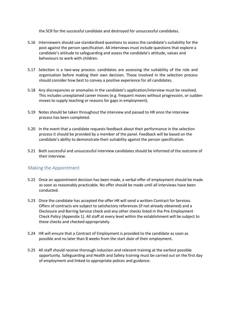the SCR for the successful candidate and destroyed for unsuccessful candidates.

- 5.16 Interviewers should use standardised questions to assess the candidate's suitability for the post against the person specification. All interviews must include questions that explore a candidate's attitude to safeguarding and assess the candidate's attitude, values and behaviours to work with children.
- 5.17 Selection is a two-way process: candidates are assessing the suitability of the role and organisation before making their own decision. Those involved in the selection process should consider how best to convey a positive experience for all candidates.
- 5.18 Any discrepancies or anomalies in the candidate's application/interview must be resolved. This includes unexplained career moves (e.g. frequent moves without progression, or sudden moves to supply teaching or reasons for gaps in employment).
- 5.19 Notes should be taken throughout the interview and passed to HR once the interview process has been completed.
- 5.20 In the event that a candidate requests feedback about their performance in the selection process it should be provided by a member of the panel. Feedback will be based on the candidate's ability to demonstrate their suitability against the person specification.
- 5.21 Both successful and unsuccessful interview candidates should be informed of the outcome of their interview.

#### Making the Appointment

- 5.22 Once an appointment decision has been made, a verbal offer of employment should be made as soon as reasonably practicable. No offer should be made until all interviews have been conducted.
- 5.23 Once the candidate has accepted the offer HR will send a written Contract for Services. Offers of contracts are subject to satisfactory references (if not already obtained) and a Disclosure and Barring Service check and any other checks listed in the Pre-Employment Check Policy (Appendix 1). All staff at every level within the establishment will be subject to these checks and checked appropriately.
- 5.24 HR will ensure that a Contract of Employment is provided to the candidate as soon as possible and no later than 8 weeks from the start date of their employment.
- 5.25 All staff should receive thorough induction and relevant training at the earliest possible opportunity. Safeguarding and Health and Safety training must be carried out on the first day of employment and linked to appropriate polices and guidance.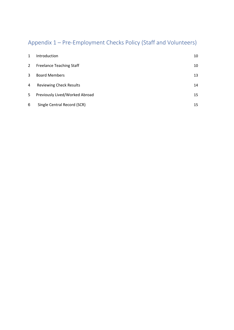# Appendix 1 – Pre-Employment Checks Policy (Staff and Volunteers)

| 1            | <b>Introduction</b>             | 10 |
|--------------|---------------------------------|----|
| $\mathbf{2}$ | <b>Freelance Teaching Staff</b> | 10 |
| 3            | <b>Board Members</b>            | 13 |
| 4            | <b>Reviewing Check Results</b>  | 14 |
| 5            | Previously Lived/Worked Abroad  | 15 |
| 6            | Single Central Record (SCR)     | 15 |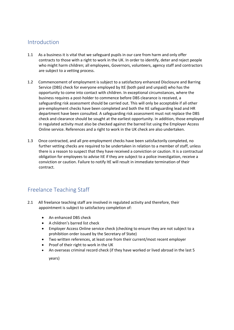# Introduction

- 1.1 As a business it is vital that we safeguard pupils in our care from harm and only offer contracts to those with a right to work in the UK. In order to identify, deter and reject people who might harm children; all employees, Governors, volunteers, agency staff and contractors are subject to a vetting process.
- 1.2 Commencement of employment is subject to a satisfactory enhanced Disclosure and Barring Service (DBS) check for everyone employed by ItE (both paid and unpaid) who has the opportunity to come into contact with children. In exceptional circumstances, where the business requires a post-holder to commence before DBS clearance is received, a safeguarding risk assessment should be carried out. This will only be acceptable if all other pre-employment checks have been completed and both the ItE safeguarding lead and HR department have been consulted. A safeguarding risk assessment must not replace the DBS check and clearance should be sought at the earliest opportunity. In addition, those employed in regulated activity must also be checked against the barred list using the Employer Access Online service. References and a right to work in the UK check are also undertaken.
- 1.3 Once contracted, and all pre-employment checks have been satisfactorily completed, no further vetting checks are required to be undertaken in relation to a member of staff, unless there is a reason to suspect that they have received a conviction or caution. It is a contractual obligation for employees to advise ItE if they are subject to a police investigation, receive a conviction or caution. Failure to notify ItE will result in immediate termination of their contract.

# Freelance Teaching Staff

- 2.1 All freelance teaching staff are involved in regulated activity and therefore, their appointment is subject to satisfactory completion of:
	- An enhanced DBS check
	- A children's barred list check
	- Employer Access Online service check (checking to ensure they are not subject to a prohibition order issued by the Secretary of State)
	- Two written references, at least one from their current/most recent employer
	- Proof of their right to work in the UK
	- An overseas criminal record check (if they have worked or lived abroad in the last 5

years)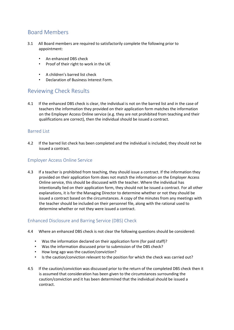# Board Members

- 3.1 All Board members are required to satisfactorily complete the following prior to appointment:
	- An enhanced DBS check
	- Proof of their right to work in the UK
	- A children's barred list check
	- Declaration of Business Interest Form.

# Reviewing Check Results

4.1 If the enhanced DBS check is clear, the individual is not on the barred list and in the case of teachers the information they provided on their application form matches the information on the Employer Access Online service (e.g. they are not prohibited from teaching and their qualifications are correct), then the individual should be issued a contract.

#### Barred List

4.2 If the barred list check has been completed and the individual is included, they should not be issued a contract.

#### Employer Access Online Service

4.3 If a teacher is prohibited from teaching, they should issue a contract. If the information they provided on their application form does not match the information on the Employer Access Online service, this should be discussed with the teacher. Where the individual has intentionally lied on their application form, they should not be issued a contract. For all other explanations, it is for the Managing Director to determine whether or not they should be issued a contract based on the circumstances. A copy of the minutes from any meetings with the teacher should be included on their personnel file, along with the rational used to determine whether or not they were issued a contract.

#### Enhanced Disclosure and Barring Service (DBS) Check

- 4.4 Where an enhanced DBS check is not clear the following questions should be considered:
	- Was the information declared on their application form (for paid staff)?
	- Was the information discussed prior to submission of the DBS check?
	- How long ago was the caution/conviction?
	- Is the caution/conviction relevant to the position for which the check was carried out?
- 4.5 If the caution/conviction was discussed prior to the return of the completed DBS check then it is assumed that consideration has been given to the circumstances surrounding the caution/conviction and it has been determined that the individual should be issued a contract.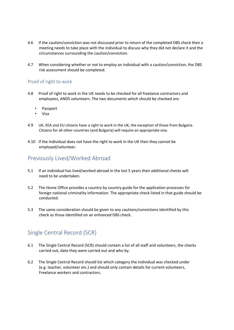- 4.6 If the caution/conviction was not discussed prior to return of the completed DBS check then a meeting needs to take place with the individual to discuss why they did not declare it and the circumstances surrounding the caution/conviction.
- 4.7 When considering whether or not to employ an individual with a caution/conviction, the DBS risk assessment should be completed.

#### Proof of right to work

- 4.8 Proof of right to work in the UK needs to be checked for all freelance contractors and employees, ANDS volunteers. The two documents which should be checked are:
	- Passport
	- Visa
- 4.9 UK, EEA and EU citizens have a right to work in the UK, the exception of those from Bulgaria. Citizens for all other countries (and Bulgaria) will require an appropriate visa.
- 4.10 If the individual does not have the right to work in the UK then they cannot be employed/volunteer.

# Previously Lived/Worked Abroad

- 5.1 If an individual has lived/worked abroad in the last 5 years then additional checks will need to be undertaken.
- 5.2 The Home Office provides a country by country guide for the application processes for foreign national criminality information. The appropriate check listed in that guide should be conducted.
- 5.3 The same consideration should be given to any cautions/convictions identified by this check as those identified on an enhanced DBS check.

# Single Central Record (SCR)

- 6.1 The Single Central Record (SCR) should contain a list of all staff and volunteers, the checks carried out, date they were carried out and who by.
- 6.2 The Single Central Record should list which category the individual was checked under (e.g. teacher, volunteer etc.) and should only contain details for current volunteers, Freelance workers and contractors.